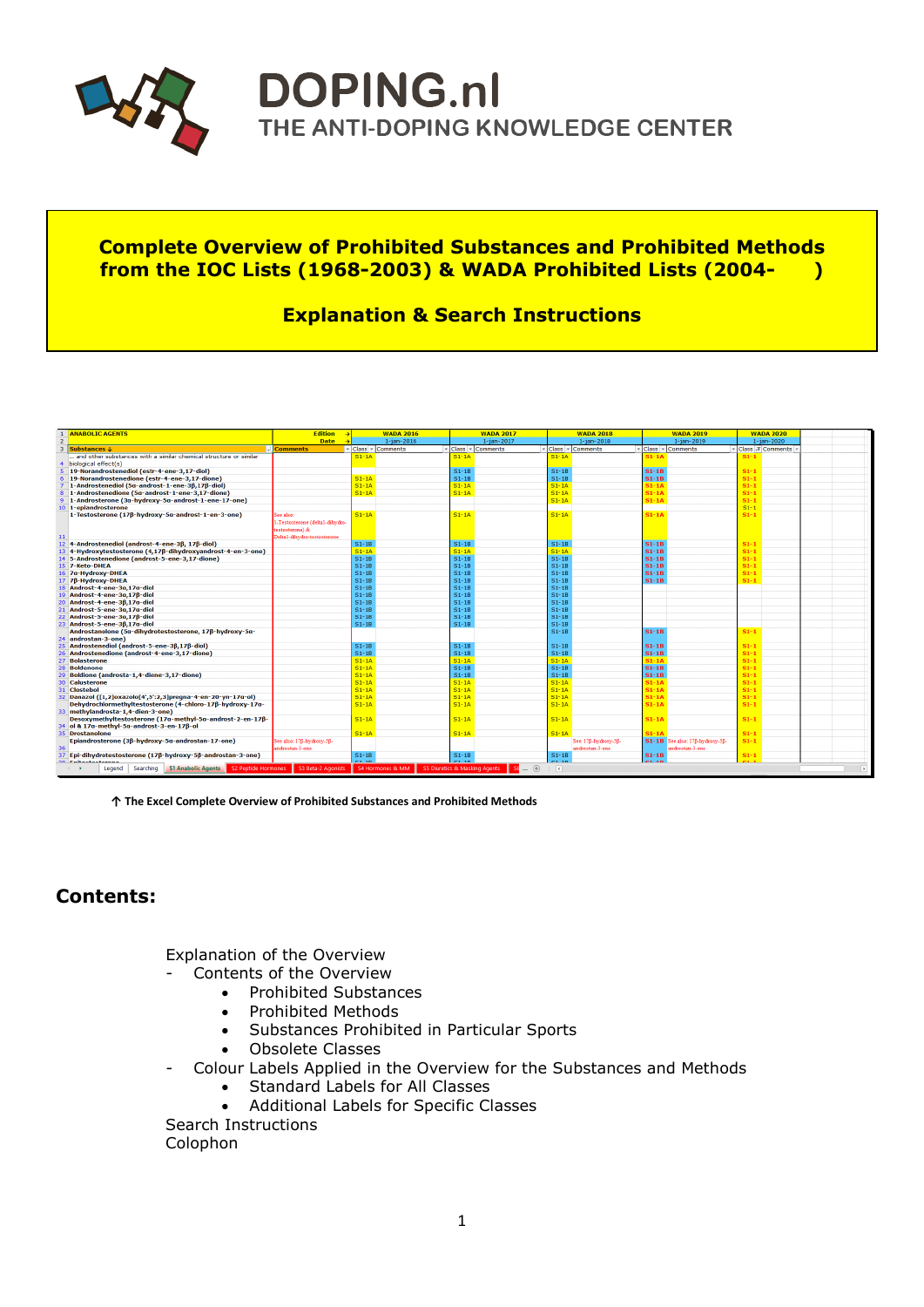

# **DOPING.nl** THE ANTI-DOPING KNOWLEDGE CENTER

## **Complete Overview of Prohibited Substances and Prohibited Methods from the IOC Lists (1968-2003) & WADA Prohibited Lists (2004- )**

## **Explanation & Search Instructions**

| 1 ANABOLIC AGENTS                                                                                      | <b>Edition</b>                                                                                | <b>WADA 2016</b>                                                           | <b>WADA 2017</b>                                                                                                          | <b>WADA 2018</b>       | <b>WADA 2019</b>                | <b>WADA 2020</b> |
|--------------------------------------------------------------------------------------------------------|-----------------------------------------------------------------------------------------------|----------------------------------------------------------------------------|---------------------------------------------------------------------------------------------------------------------------|------------------------|---------------------------------|------------------|
| $\overline{2}$                                                                                         | <b>Date</b>                                                                                   | $1 - ian - 2016$                                                           | $1 - ian - 2017$                                                                                                          | $1 - ian - 2018$       | $1 - ian - 2019$                | 1-jan-2020       |
| $\mathbf{a}$<br>Substances J                                                                           | - <b>Comments</b>                                                                             | $\overline{\phantom{a}}$ Class $\overline{\phantom{a}}$<br><b>Comments</b> | - Class -<br><b>Comments</b>                                                                                              | - Class -<br>Comments  | - Class - Comments              | Class T Comments |
| and other substances with a similar chemical structure or similar                                      |                                                                                               | $S1 - 1A$                                                                  | $S1 - 1A$                                                                                                                 | $S1 - 1A$              | $S1 - 1A$                       | $S1-1$           |
| biological effect(s)                                                                                   |                                                                                               |                                                                            |                                                                                                                           |                        |                                 |                  |
| 19-Norandrostenediol (estr-4-ene-3,17-diol)                                                            |                                                                                               |                                                                            | $S1 - 1B$                                                                                                                 | $S1 - 1B$              | $S1-1B$                         | $S1-1$           |
| 19-Norandrostenedione (estr-4-ene-3.17-dione)<br>6                                                     |                                                                                               | $S1 - 1A$                                                                  | $S1-1B$                                                                                                                   | $S1 - 1B$              | $S1-1B$                         | $S1-1$           |
| 1-Androstenediol (5a-androst-1-ene-3β,17β-diol)                                                        |                                                                                               | $S1 - 1A$                                                                  | $S1 - 1A$                                                                                                                 | $S1 - 1A$              | $S1-1A$                         | $S1-1$           |
| 1-Androstenedione (5a-androst-1-ene-3,17-dione)                                                        |                                                                                               | $S1 - 1A$                                                                  | $S1 - 1A$                                                                                                                 | $S1 - 1A$              | $S1 - 1A$                       | $S1-1$           |
| 1-Androsterone (3a-hydroxy-5a-androst-1-ene-17-one)                                                    |                                                                                               |                                                                            |                                                                                                                           | $S1 - 1A$              | $S1-1A$                         | $S1-1$           |
| 10 1-epiandrosterone                                                                                   |                                                                                               |                                                                            |                                                                                                                           |                        |                                 | $S1-1$           |
| 1-Testosterone (17ß-hydroxy-5a-androst-1-en-3-one)<br>11                                               | See also:<br>-Testosterone (delta1-dihydro-<br>testosterone) &<br>Delta1-dihydro-testosterone | $S1 - 1A$                                                                  | $S1 - 1A$                                                                                                                 | $S1 - 1A$              | $S1-1A$                         | $S1-1$           |
| 12 4-Androstenediol (androst-4-ene-3B, 17B-diol)                                                       |                                                                                               | $S1-1B$                                                                    | $S1-1B$                                                                                                                   | $S1-1B$                | $S1-1B$                         | $S1-1$           |
| 13 4-Hydroxytestosterone (4,17β-dihydroxyandrost-4-en-3-one)                                           |                                                                                               | $S1 - 1A$                                                                  | $S1 - 1A$                                                                                                                 | $S1 - 1A$              | $S1-1B$                         | $S1-1$           |
| 14 5-Androstenedione (androst-5-ene-3,17-dione)                                                        |                                                                                               | $S1-1B$                                                                    | $S1-1B$                                                                                                                   | $S1 - 1B$              | $S1-1B$                         | $S1-1$           |
| 15 7-Keto-DHEA                                                                                         |                                                                                               | $S1-1B$                                                                    | $S1-1B$                                                                                                                   | $S1 - 1B$              | $S1-1B$                         | $S1-1$           |
| 16 7a-Hydroxy-DHEA                                                                                     |                                                                                               | $S1-1B$                                                                    | $S1-1B$                                                                                                                   | $S1 - 1B$              | $S1-1B$                         | $S1-1$           |
| 17 7β-Hydroxy-DHEA                                                                                     |                                                                                               | $S1-1B$                                                                    | $S1-1B$                                                                                                                   | $S1 - 1B$              | $S1-1B$                         | $S1-1$           |
| 18 Androst-4-ene-3a,17a-diol                                                                           |                                                                                               | $S1 - 1B$                                                                  | $S1-1B$                                                                                                                   | $S1 - 1B$              |                                 |                  |
| 19 Androst-4-ene-3α, 17β-diol                                                                          |                                                                                               | $S1-1B$                                                                    | $S1-1B$                                                                                                                   | $S1 - 1B$              |                                 |                  |
| 20 Androst-4-ene-36.17a-diol                                                                           |                                                                                               | $S1-1B$                                                                    | $S1 - 1B$                                                                                                                 | $S1 - 1B$              |                                 |                  |
| 21 Androst-5-ene-3a,17a-diol                                                                           |                                                                                               | $S1-1B$                                                                    | $S1-1B$                                                                                                                   | $S1 - 1B$              |                                 |                  |
| 22 Androst-5-ene-3a.17B-diol                                                                           |                                                                                               | $S1-1B$                                                                    | $S1 - 1B$                                                                                                                 | $S1 - 1B$              |                                 |                  |
| 23 Androst-5-ene-3β,17α-diol                                                                           |                                                                                               | $S1 - 1B$                                                                  | $S1-1B$                                                                                                                   | $S1 - 1B$              |                                 |                  |
| Androstanolone (5α-dihydrotestosterone, 17β-hydroxy-5α-<br>24 androstan-3-one)                         |                                                                                               |                                                                            |                                                                                                                           | $S1 - 1B$              | $S1-1B$                         | $S1-1$           |
| 25 Androstenediol (androst-5-ene-3β,17β-diol)                                                          |                                                                                               | $S1-1B$                                                                    | $S1-1B$                                                                                                                   | $S1 - 1B$              | $S1-1B$                         | $S1-1$           |
| 26 Androstenedione (androst-4-ene-3,17-dione)                                                          |                                                                                               | $S1-1B$                                                                    | $S1-1B$                                                                                                                   | $S1 - 1B$              | $S1-1B$                         | $S1-1$           |
| 27 Bolasterone                                                                                         |                                                                                               | $S1 - 1A$                                                                  | $S1 - 1A$                                                                                                                 | $S1 - 1A$              | $S1 - 1A$                       | $S1-1$           |
| <b>Boldenone</b><br>28                                                                                 |                                                                                               | $S1 - 1A$                                                                  | $S1-1B$                                                                                                                   | $S1 - 1B$              | $S1-1B$                         | $S1-1$           |
| 29 Boldione (androsta-1,4-diene-3,17-dione)                                                            |                                                                                               | $S1 - 1A$                                                                  | $S1 - 1B$                                                                                                                 | $S1 - 1B$              | $S1-1B$                         | $S1-1$           |
| <b>Calusterone</b><br>30                                                                               |                                                                                               | $S1 - 1A$                                                                  | $S1 - 1A$                                                                                                                 | $S1 - 1A$              | $S1 - 1A$                       | $S1-1$           |
| 31 Clostebol                                                                                           |                                                                                               | $S1 - 1A$                                                                  | $S1 - 1A$                                                                                                                 | $S1 - 1A$              | $S1 - 1$                        | $S1-1$           |
| 32 Danazol ([1,2]oxazolo[4',5':2,3]pregna-4-en-20-yn-17g-ol)                                           |                                                                                               | $S1 - 1A$<br>$S1 - 1A$                                                     | $S1 - 1A$<br>$S1 - 1A$                                                                                                    | $S1 - 1A$<br>$S1 - 1A$ | $S1 - 14$                       | $S1-1$           |
| Dehydrochlormethyltestosterone (4-chloro-17ß-hydroxy-17a-<br>33 methylandrosta-1,4-dien-3-one)         |                                                                                               |                                                                            |                                                                                                                           |                        | $S1 - 14$                       | $S1-1$           |
| Desoxymethyltestosterone (17a-methyl-5a-androst-2-en-17ß-<br>34 ol & 17a-methyl-5a-androst-3-en-17ß-ol |                                                                                               | $S1 - 1A$                                                                  | $S1 - 1A$                                                                                                                 | $S1 - 1A$              | $S1 - 14$                       | $S1-1$           |
| 35 Drostanolone                                                                                        |                                                                                               | $S1 - 1A$                                                                  | $S1 - 1A$                                                                                                                 | $S1 - 1A$              | $S1 - 11$                       | $S1-1$           |
| Epiandrosterone (3ß-hydroxy-5g-androstan-17-one)                                                       | See also: 17B-hydroxy-5B-                                                                     |                                                                            |                                                                                                                           | See: 17B-hydroxy-5B-   | S1-1B See also: 17B-hydroxy-5B- | $S1-1$           |
| 36                                                                                                     | androstan-3-one                                                                               |                                                                            |                                                                                                                           | androstan-3-one        | androstan-3-one                 |                  |
| Epi-dihydrotestosterone (17ß-hydroxy-5ß-androstan-3-one)<br>37                                         |                                                                                               | $S1 - 1B$                                                                  | $S1-1B$                                                                                                                   | $S1 - 1B$              | $S1-1B$                         | $S1-1$           |
| 30 Falkachachasan                                                                                      |                                                                                               | $C = 10$                                                                   | C4.30                                                                                                                     | os so                  | $254 - 4$                       |                  |
| Searching S1 Anabolic Agents S2 Peptide Hormones S3 Beta-2 Agonists S4 Hormones & MM<br>Legend         |                                                                                               |                                                                            | $\begin{array}{ c c c c c }\hline \multicolumn{1}{ }{\textbf{Set}} & \oplus \end{array}$<br>S5 Diuretics & Masking Agents | $\vert \cdot \vert$    |                                 |                  |

**↑ The Excel Complete Overview of Prohibited Substances and Prohibited Methods**

## **Contents:**

Explanation of the Overview

- Contents of the Overview
	- Prohibited Substances
	- Prohibited Methods
	- Substances Prohibited in Particular Sports
	- Obsolete Classes
- Colour Labels Applied in the Overview for the Substances and Methods
	- Standard Labels for All Classes
	- Additional Labels for Specific Classes

Search Instructions Colophon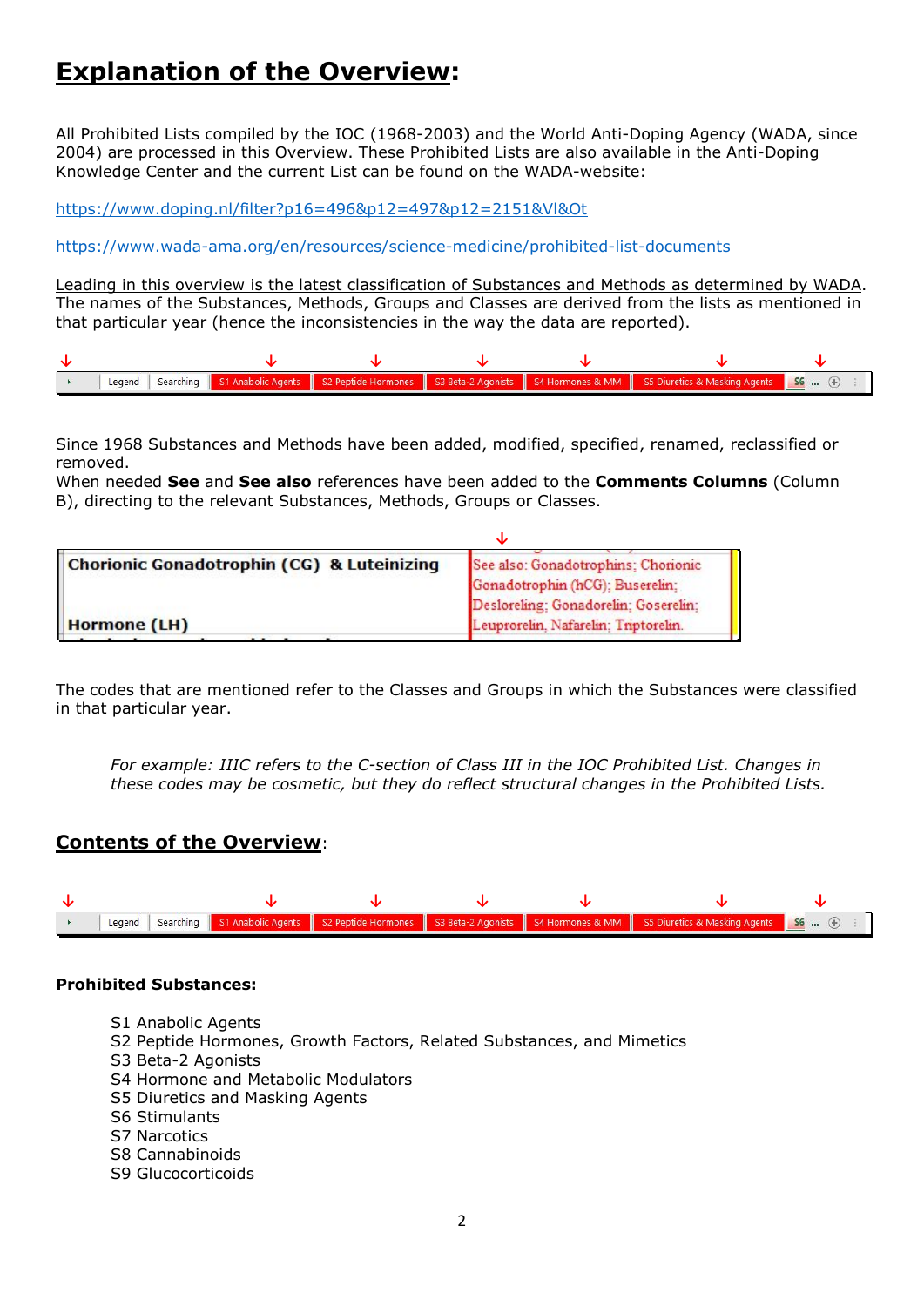## **Explanation of the Overview:**

All Prohibited Lists compiled by the IOC (1968-2003) and the World Anti-Doping Agency (WADA, since 2004) are processed in this Overview. These Prohibited Lists are also available in the Anti-Doping Knowledge Center and the current List can be found on the WADA-website:

<https://www.doping.nl/filter?p16=496&p12=497&p12=2151&Vl&Ot>

<https://www.wada-ama.org/en/resources/science-medicine/prohibited-list-documents>

Leading in this overview is the latest classification of Substances and Methods as determined by WADA. The names of the Substances, Methods, Groups and Classes are derived from the lists as mentioned in that particular year (hence the inconsistencies in the way the data are reported).



Since 1968 Substances and Methods have been added, modified, specified, renamed, reclassified or removed.

When needed **See** and **See also** references have been added to the **Comments Columns** (Column B), directing to the relevant Substances, Methods, Groups or Classes.

| See also: Gonadotrophins; Chorionic  |
|--------------------------------------|
| Gonadotrophin (hCG); Buserelin;      |
| Desloreling; Gonadorelin; Goserelin; |
| Leuprorelin, Nafarelin; Triptorelin. |
|                                      |

The codes that are mentioned refer to the Classes and Groups in which the Substances were classified in that particular year.

*For example: IIIC refers to the C-section of Class III in the IOC Prohibited List. Changes in these codes may be cosmetic, but they do reflect structural changes in the Prohibited Lists.*

### **Contents of the Overview**:



#### **Prohibited Substances:**

- S1 Anabolic Agents
- S2 Peptide Hormones, Growth Factors, Related Substances, and Mimetics
- S3 Beta-2 Agonists
- S4 Hormone and Metabolic Modulators
- S5 Diuretics and Masking Agents
- S6 Stimulants
- S7 Narcotics
- S8 Cannabinoids
- S9 Glucocorticoids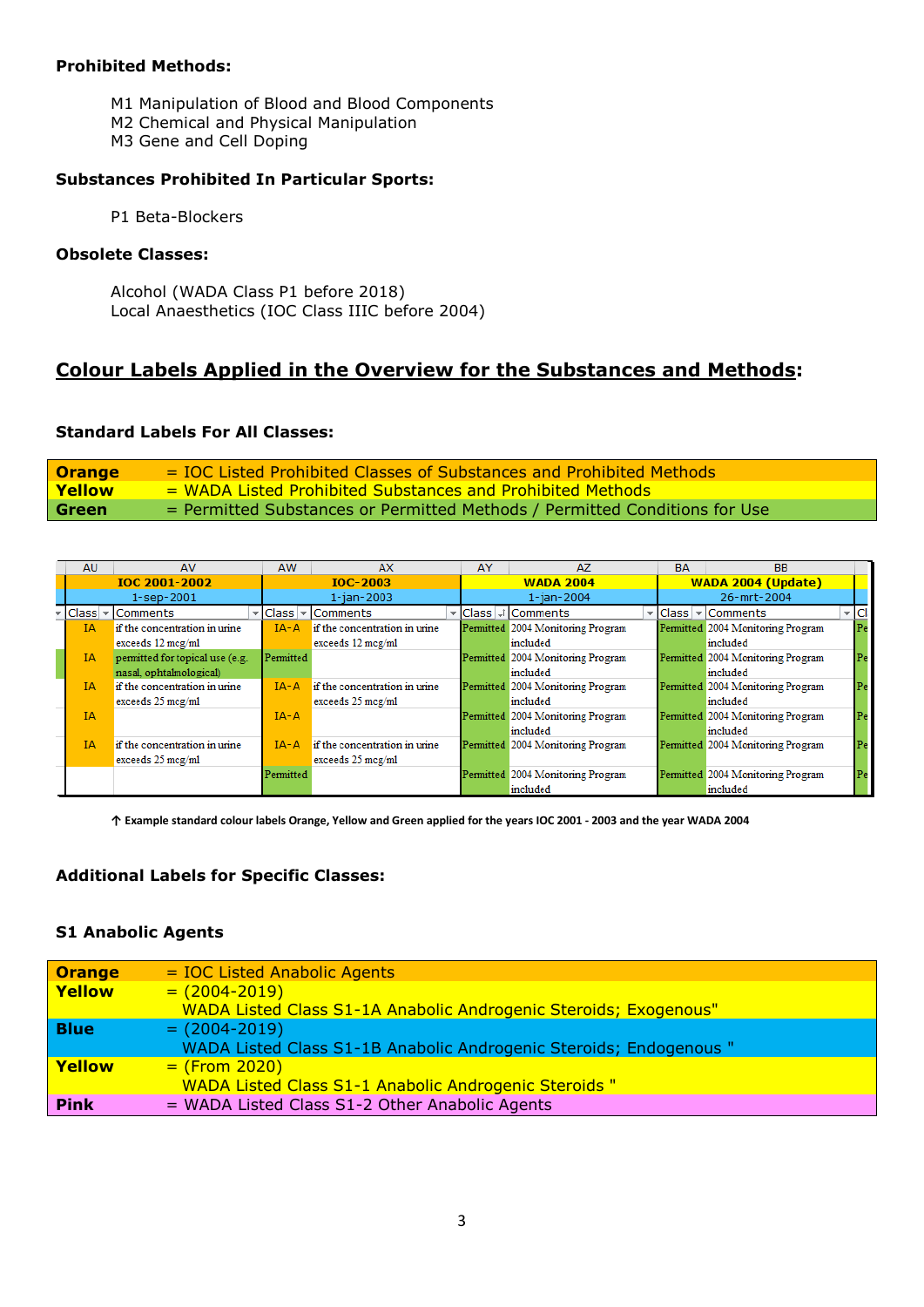#### **Prohibited Methods:**

- M1 Manipulation of Blood and Blood Components
- M2 Chemical and Physical Manipulation
- M3 Gene and Cell Doping

#### **Substances Prohibited In Particular Sports:**

P1 Beta-Blockers

#### **Obsolete Classes:**

Alcohol (WADA Class P1 before 2018) Local Anaesthetics (IOC Class IIIC before 2004)

## **Colour Labels Applied in the Overview for the Substances and Methods:**

#### **Standard Labels For All Classes:**

| <b>Orange</b> | = IOC Listed Prohibited Classes of Substances and Prohibited Methods       |
|---------------|----------------------------------------------------------------------------|
| <b>Yellow</b> | = WADA Listed Prohibited Substances and Prohibited Methods                 |
| Green         | = Permitted Substances or Permitted Methods / Permitted Conditions for Use |

| <b>AU</b> | AV                              | <b>AW</b>       | AX                            | AY               | AZ                                      | <b>BA</b> | <b>BB</b>                         |                                      |
|-----------|---------------------------------|-----------------|-------------------------------|------------------|-----------------------------------------|-----------|-----------------------------------|--------------------------------------|
|           | <b>IOC 2001-2002</b>            | <b>IOC-2003</b> |                               | <b>WADA 2004</b> |                                         |           | WADA 2004 (Update)                |                                      |
|           | $1 -$ sep $-2001$               |                 | $1 - ian - 2003$              |                  | $1 - ian - 2004$                        |           | 26-mrt-2004                       |                                      |
|           | $ Class $ Comments              | Class           | $\vert \cdot \vert$ Comments  |                  | Class   <sub>▼</sub> †   Comments <br>÷ |           | Class   -   Comments              | $\overline{\phantom{a}}$ $ {\rm C} $ |
| ĪΑ        | if the concentration in urine   | $IA - A$        | if the concentration in urine |                  | Permitted 2004 Monitoring Program       |           | Permitted 2004 Monitoring Program | Pe:                                  |
|           | exceeds $12 \text{ mcg/ml}$     |                 | exceeds $12 \text{ mcg/ml}$   |                  | included                                |           | included                          |                                      |
| <b>IA</b> | permitted for topical use (e.g. | Permitted       |                               |                  | Permitted 2004 Monitoring Program       |           | Permitted 2004 Monitoring Program | Pe:                                  |
|           | nasal, ophtalmological)         |                 |                               |                  | included                                |           | included                          |                                      |
| <b>IA</b> | if the concentration in urine   | $IA - A$        | if the concentration in urine |                  | Permitted 2004 Monitoring Program       |           | Permitted 2004 Monitoring Program | Pe:                                  |
|           | exceeds $25 \text{ mcg/ml}$     |                 | exceeds $25 \text{ mcg/ml}$   |                  | included                                |           | included                          |                                      |
| <b>IA</b> |                                 | $IA - A$        |                               |                  | Permitted 2004 Monitoring Program       |           | Permitted 2004 Monitoring Program | Pe:                                  |
|           |                                 |                 |                               |                  | included                                |           | included                          |                                      |
| IΑ        | if the concentration in urine   | $IA - A$        | if the concentration in urine |                  | Permitted 2004 Monitoring Program       |           | Permitted 2004 Monitoring Program | Pe:                                  |
|           | exceeds 25 mcg/ml               |                 | exceeds 25 mcg/ml             |                  |                                         |           |                                   |                                      |
|           |                                 | Permitted       |                               |                  | Permitted 2004 Monitoring Program       |           | Permitted 2004 Monitoring Program | Pe:                                  |
|           |                                 |                 |                               |                  | included                                |           | included                          |                                      |

**↑ Example standard colour labels Orange, Yellow and Green applied for the years IOC 2001 - 2003 and the year WADA 2004**

#### **Additional Labels for Specific Classes:**

#### **S1 Anabolic Agents**

| <b>Orange</b> | $=$ IOC Listed Anabolic Agents                                          |
|---------------|-------------------------------------------------------------------------|
| Yellow        | $= (2004 - 2019)$                                                       |
|               | <b>WADA Listed Class S1-1A Anabolic Androgenic Steroids; Exogenous"</b> |
| <b>Blue</b>   | $= (2004 - 2019)$                                                       |
|               | WADA Listed Class S1-1B Anabolic Androgenic Steroids; Endogenous "      |
| Yellow        | $=$ (From 2020)                                                         |
|               | <b>WADA Listed Class S1-1 Anabolic Androgenic Steroids "</b>            |
| <b>Pink</b>   | = WADA Listed Class S1-2 Other Anabolic Agents                          |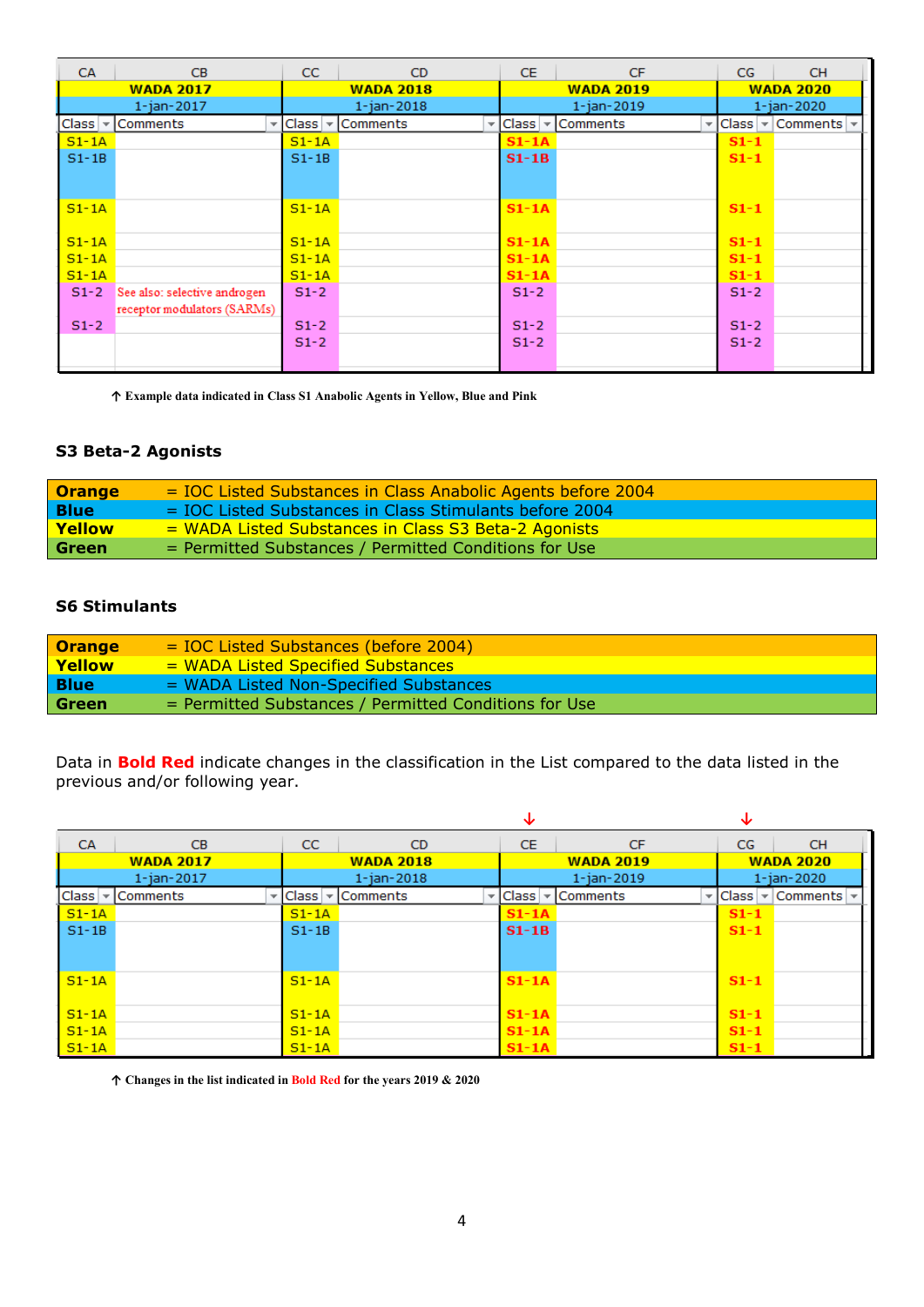| <b>CA</b>      | <b>CB</b>                    | CC                  | CD.              | CE.              | <b>CF</b>                                                            | CG               | <b>CH</b>        |
|----------------|------------------------------|---------------------|------------------|------------------|----------------------------------------------------------------------|------------------|------------------|
|                | <b>WADA 2017</b>             | <b>WADA 2018</b>    |                  | <b>WADA 2019</b> |                                                                      | <b>WADA 2020</b> |                  |
|                | $1 - ian - 2017$             |                     | $1 - ian - 2018$ |                  | $1 - ian - 2019$                                                     |                  | $1 - ian - 2020$ |
| $ Class  \neq$ | <b>Comments</b>              | $\vee$ Class $\vee$ | <b>Comments</b>  |                  | $\mathbf{E}$ Class $\mathbf{E}$ Comments<br>$\overline{\phantom{a}}$ | Class            | Comments -       |
| $S1 - 1A$      |                              | $S1 - 1A$           |                  | $S1 - 1A$        |                                                                      | $S1-1$           |                  |
| $S1 - 1B$      |                              | $S1 - 1B$           |                  | $S1-1B$          |                                                                      | $S1-1$           |                  |
|                |                              |                     |                  |                  |                                                                      |                  |                  |
|                |                              |                     |                  |                  |                                                                      |                  |                  |
| $S1 - 1A$      |                              | $S1 - 1A$           |                  | $S1 - 1A$        |                                                                      | $S1-1$           |                  |
|                |                              |                     |                  |                  |                                                                      |                  |                  |
| $S1 - 1A$      |                              | $S1 - 1A$           |                  | $S1 - 1A$        |                                                                      | $S1-1$           |                  |
| $S1 - 1A$      |                              | $S1 - 1A$           |                  | $S1 - 1A$        |                                                                      | $S1-1$           |                  |
| $S1 - 1A$      |                              | $S1 - 1A$           |                  | $S1 - 1A$        |                                                                      | $S1-1$           |                  |
| $S1-2$         | See also: selective androgen | $S1-2$              |                  | $S1-2$           |                                                                      | $S1-2$           |                  |
|                | receptor modulators (SARMs)  |                     |                  |                  |                                                                      |                  |                  |
| $S1-2$         |                              | $S1-2$              |                  | $S1-2$           |                                                                      | $S1-2$           |                  |
|                |                              | $S1-2$              |                  | $S1-2$           |                                                                      | $S1-2$           |                  |
|                |                              |                     |                  |                  |                                                                      |                  |                  |

**↑ Example data indicated in Class S1 Anabolic Agents in Yellow, Blue and Pink**

#### **S3 Beta-2 Agonists**

| <b>Orange</b> | $=$ IOC Listed Substances in Class Anabolic Agents before 2004 |
|---------------|----------------------------------------------------------------|
| <b>Blue</b>   | = IOC Listed Substances in Class Stimulants before 2004        |
| Yellow        | = WADA Listed Substances in Class S3 Beta-2 Agonists           |
| Green         | = Permitted Substances / Permitted Conditions for Use          |

#### **S6 Stimulants**

| <b>Orange</b> | $=$ IOC Listed Substances (before 2004)               |
|---------------|-------------------------------------------------------|
| Yellow        | = WADA Listed Specified Substances                    |
| <b>Blue</b>   | = WADA Listed Non-Specified Substances                |
| Green         | = Permitted Substances / Permitted Conditions for Use |

Data in **Bold Red** indicate changes in the classification in the List compared to the data listed in the previous and/or following year.

|                                   |                  |              |                  | ◡         |                                  | ◡                 |                  |
|-----------------------------------|------------------|--------------|------------------|-----------|----------------------------------|-------------------|------------------|
| <b>CA</b>                         | CB.              | CC.          | CD.              | CE.       | <b>CF</b>                        | CG                | <b>CH</b>        |
|                                   | <b>WADA 2017</b> |              | <b>WADA 2018</b> |           | <b>WADA 2019</b>                 |                   | <b>WADA 2020</b> |
|                                   | $1 - ian - 2017$ |              | $1 - ian - 2018$ |           | $1 - ian - 2019$                 |                   | $1 - ian - 2020$ |
| Class<br>$\overline{\phantom{a}}$ | Comments         | <b>Class</b> | ▼ Comments<br>▼  |           | $ Class $ $\sqrt{$ Comments<br>÷ | <b>Class</b><br>▼ | Comments         |
| $S1 - 1A$                         |                  | $S1 - 1A$    |                  | $S1 - 1A$ |                                  | $S1-1$            |                  |
| $S1 - 1B$                         |                  | $S1 - 1B$    |                  | $S1-1B$   |                                  | $S1-1$            |                  |
|                                   |                  |              |                  |           |                                  |                   |                  |
|                                   |                  |              |                  |           |                                  |                   |                  |
| $S1 - 1A$                         |                  | $S1 - 1A$    |                  | $S1 - 1A$ |                                  | $S1-1$            |                  |
|                                   |                  |              |                  |           |                                  |                   |                  |
| $S1 - 1A$                         |                  | $S1 - 1A$    |                  | $S1 - 1A$ |                                  | $S1-1$            |                  |
| $S1 - 1A$                         |                  | $S1 - 1A$    |                  | $S1 - 1A$ |                                  | $S1-1$            |                  |
| $S1 - 1A$                         |                  | $S1 - 1A$    |                  | $S1 - 1A$ |                                  | $S1-1$            |                  |

**↑ Changes in the list indicated in Bold Red for the years 2019 & 2020**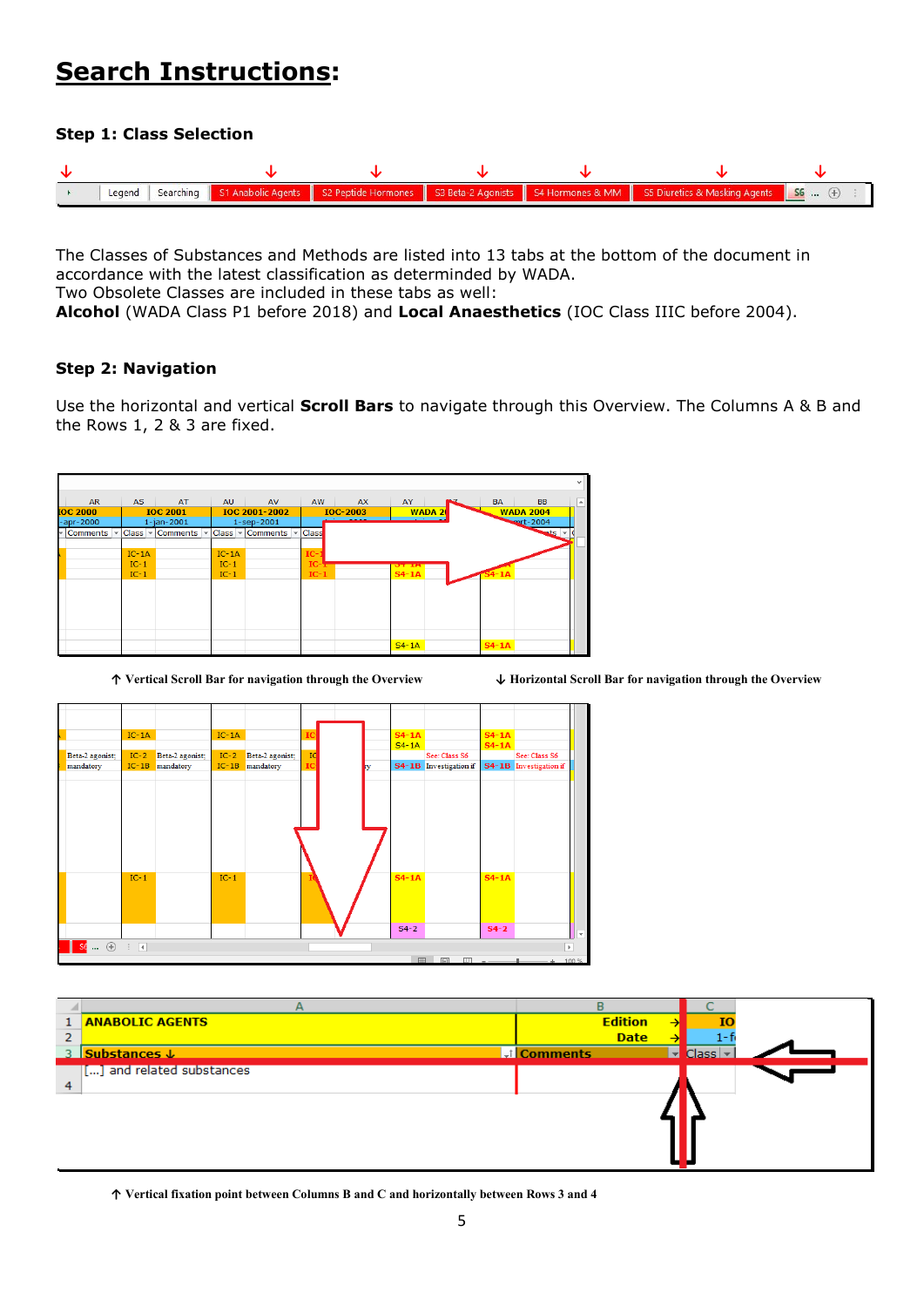## **Search Instructions:**

#### **Step 1: Class Selection**



The Classes of Substances and Methods are listed into 13 tabs at the bottom of the document in accordance with the latest classification as determinded by WADA. Two Obsolete Classes are included in these tabs as well: **Alcohol** (WADA Class P1 before 2018) and **Local Anaesthetics** (IOC Class IIIC before 2004).

#### **Step 2: Navigation**

Use the horizontal and vertical **Scroll Bars** to navigate through this Overview. The Columns A & B and the Rows 1, 2 & 3 are fixed.







|   | А                          | R                 |                                     |  |
|---|----------------------------|-------------------|-------------------------------------|--|
|   | <b>ANABOLIC AGENTS</b>     | <b>Edition</b>    | ю<br>→                              |  |
| 2 |                            | <b>Date</b>       |                                     |  |
|   | 3 Substances J             | <b>J</b> Comments | $Class \mid$ $\mid$<br>$\mathbf{v}$ |  |
|   | [[] and related substances |                   |                                     |  |
| 4 |                            |                   |                                     |  |
|   |                            |                   |                                     |  |
|   |                            |                   |                                     |  |
|   |                            |                   |                                     |  |
|   |                            |                   |                                     |  |
|   |                            |                   |                                     |  |

**↑ Vertical fixation point between Columns B and C and horizontally between Rows 3 and 4**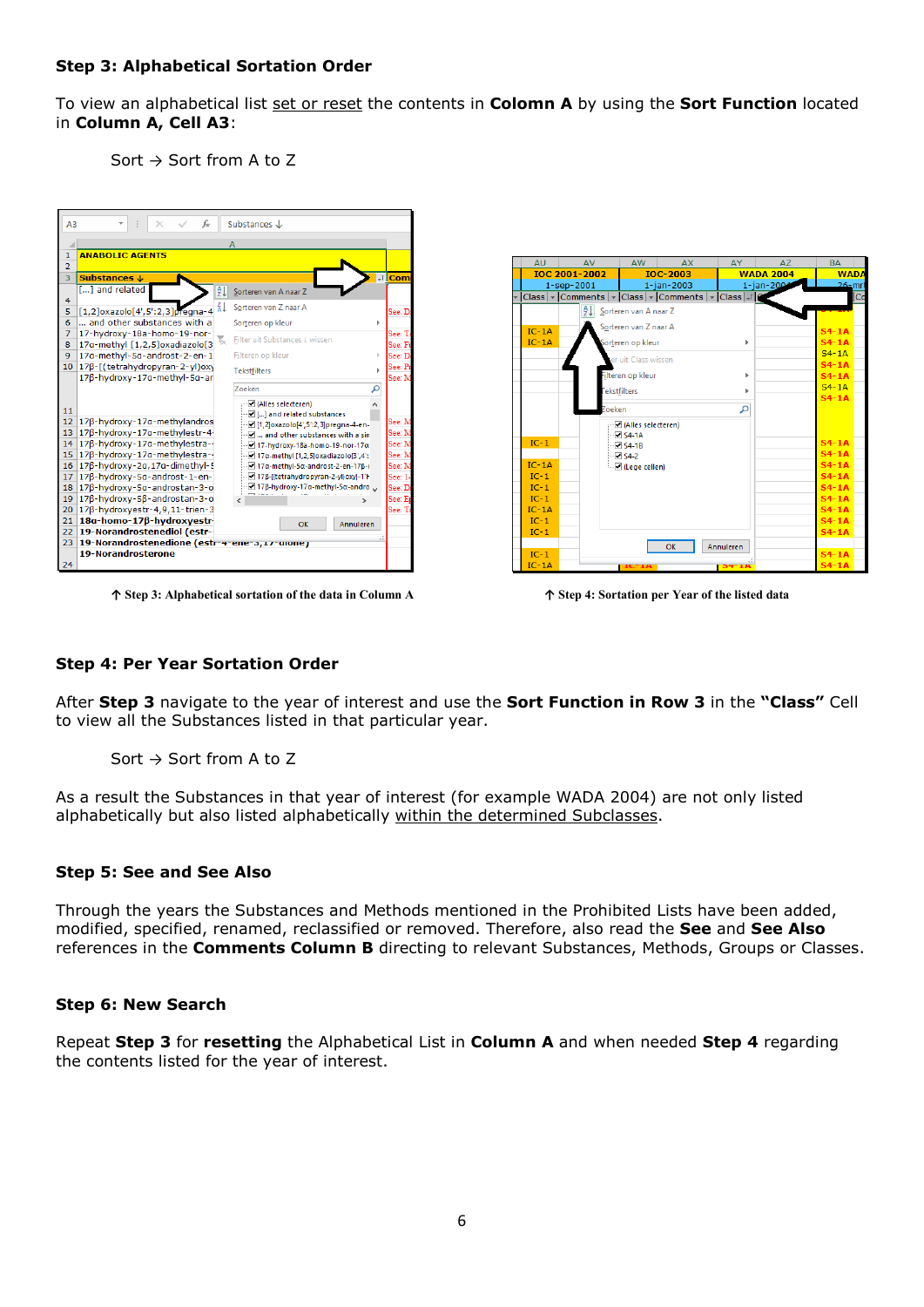#### **Step 3: Alphabetical Sortation Order**

To view an alphabetical list set or reset the contents in **Colomn A** by using the **Sort Function** located in **Column A, Cell A3**:

Sort  $\rightarrow$  Sort from A to Z



**↑ Step 3: Alphabetical sortation of the data in Column A ↑ Step 4: Sortation per Year of the listed data**

|   | <b>AU</b>         | <b>AV</b>            | AW.                    | <b>AX</b>       | AY .                                                                | AZ         | <b>BA</b>              |             |  |
|---|-------------------|----------------------|------------------------|-----------------|---------------------------------------------------------------------|------------|------------------------|-------------|--|
|   |                   | <b>IOC 2001-2002</b> |                        | <b>IOC-2003</b> |                                                                     |            | <b>WADA 2004</b>       | <b>WADA</b> |  |
|   |                   | $1 -$ sep $-2001$    |                        | 1-jan-2003      |                                                                     | 1-jan-2004 | $26-$ mrt              |             |  |
| ÷ |                   |                      |                        |                 | Class   v   Comments   v   Class   v   Comments   v   Class   v   C |            |                        | Co          |  |
|   |                   | $\frac{A}{2}$        | Sorteren van A naar Z  |                 |                                                                     |            |                        |             |  |
|   |                   |                      | Sorteren van Z naar A  |                 |                                                                     |            |                        |             |  |
|   | $IC-1A$           |                      |                        |                 |                                                                     |            | $S4 - 1A$              |             |  |
|   | $IC-1A$           |                      | Sorteren op kleur      |                 | Þ                                                                   |            | $S4 - 1A$              |             |  |
|   |                   |                      | ter uit Class wissen   |                 |                                                                     |            | $S4 - 1A$              |             |  |
|   |                   |                      |                        |                 |                                                                     |            | $S4 - 1A$              |             |  |
|   |                   |                      | ilteren op kleur       |                 | Þ                                                                   |            | $S4 - 1A$              |             |  |
|   |                   |                      | <b>Fekstfilters</b>    |                 |                                                                     |            | $S4 - 1A$              |             |  |
|   |                   |                      |                        |                 |                                                                     |            | $S4 - 1A$              |             |  |
|   |                   | Zoeken               |                        |                 | م                                                                   |            |                        |             |  |
|   |                   |                      | - Ø (Alles selecteren) |                 |                                                                     |            |                        |             |  |
|   |                   |                      | $\sqrt{54-1A}$         |                 |                                                                     |            |                        |             |  |
|   | $IC-1$            |                      | $\sqrt{54-18}$         |                 |                                                                     |            | $S4-1A$                |             |  |
|   |                   |                      | $\sqrt{54.2}$          |                 |                                                                     |            | $S4 - 1A$              |             |  |
|   | $IC-1A$<br>$IC-1$ |                      | $\Box$ (Lege cellen)   |                 |                                                                     |            | $S4 - 1A$<br>$S4 - 1A$ |             |  |
|   | $IC-1$            |                      |                        |                 |                                                                     |            | $S4 - 1A$              |             |  |
|   | $IC-1$            |                      |                        |                 |                                                                     |            | $S4 - 1A$              |             |  |
|   | $IC-1A$           |                      |                        |                 |                                                                     |            | $S4 - 1A$              |             |  |
|   | $IC-1$            |                      |                        |                 |                                                                     |            | $S4-1A$                |             |  |
|   | $IC-1$            |                      |                        |                 |                                                                     |            | $S4 - 1A$              |             |  |
|   |                   |                      |                        |                 |                                                                     |            |                        |             |  |
|   | $IC-1$            |                      |                        | OK              | Annuleren                                                           |            | $S4 - 1A$              |             |  |
|   | $IC-1A$           |                      | $IC-IA$                |                 | $54 - 14$                                                           |            | $S4 - 1A$              |             |  |
|   |                   |                      |                        |                 |                                                                     |            |                        |             |  |

#### **Step 4: Per Year Sortation Order**

After **Step 3** navigate to the year of interest and use the **Sort Function in Row 3** in the **"Class"** Cell to view all the Substances listed in that particular year.

Sort  $\rightarrow$  Sort from A to Z

As a result the Substances in that year of interest (for example WADA 2004) are not only listed alphabetically but also listed alphabetically within the determined Subclasses.

#### **Step 5: See and See Also**

Through the years the Substances and Methods mentioned in the Prohibited Lists have been added, modified, specified, renamed, reclassified or removed. Therefore, also read the **See** and **See Also** references in the **Comments Column B** directing to relevant Substances, Methods, Groups or Classes.

#### **Step 6: New Search**

Repeat **Step 3** for **resetting** the Alphabetical List in **Column A** and when needed **Step 4** regarding the contents listed for the year of interest.